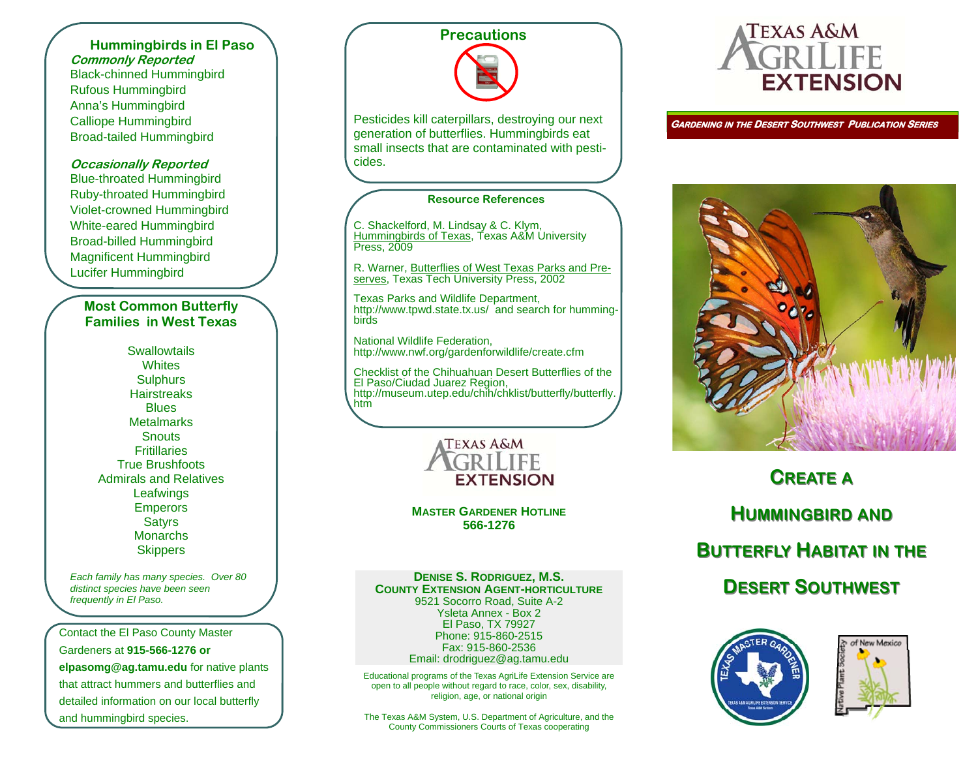#### **Hummingbirds in El Paso Commonly Reported**  Black-chinned Hummingbird Rufous Hummingbird Anna's Hummingbird Calliope Hummingbird Broad-tailed Hummingbird

#### **Occasionally Reported**

Blue-throated Hummingbird Ruby-throated Hummingbird Violet-crowned Hummingbird White-eared Hummingbird Broad-billed Hummingbird Magnificent Hummingbird Lucifer Hummingbird

#### **Most Common Butterfly Families in West Texas**

**Swallowtails Whites Sulphurs Hairstreaks Blues Metalmarks Snouts Fritillaries** True Brushfoots Admirals and Relatives **Leafwings** Emperors **Satyrs Monarchs Skippers** 

*Each family has many species. Over 80 distinct species have been seen frequently in El Paso.* 

Contact the El Paso County Master Gardeners at **915-566-1276 or elpasomg@ag.tamu.edu** for native plants that attract hummers and butterflies and detailed information on our local butterfly and hummingbird species.

# **Precautions**

Pesticides kill caterpillars, destroying our next generation of butterflies. Hummingbirds eat small insects that are contaminated with pesticides.

#### **Resource References**

C. Shackelford, M. Lindsay & C. Klym, Hummingbirds of Texas, Texas A&M University<br>Press, 2009

R. Warner, Butterflies of West Texas Parks and Preserves, Texas Tech University Press, 2002

Texas Parks and Wildlife Department, http://www.tpwd.state.tx.us/ and search for hummingbirds

National Wildlife Federation, http://www.nwf.org/gardenforwildlife/create.cfm

Checklist of the Chihuahuan Desert Butterflies of the El Paso/Ciudad Juarez Region, http://museum.utep.edu/chih/chklist/butterfly/butterfly. htm



**MASTER GARDENER HOTLINE 566-1276** 

#### **DENISE S. RODRIGUEZ, M.S. COUNTY EXTENSION AGENT-HORTICULTURE**

9521 Socorro Road, Suite A-2 Ysleta Annex - Box 2 El Paso, TX 79927 Phone: 915-860-2515 Fax: 915-860-2536 Email: drodriguez@ag.tamu.edu

Educational programs of the Texas AgriLife Extension Service are open to all people without regard to race, color, sex, disability, religion, age, or national origin

The Texas A&M System, U.S. Department of Agriculture, and the County Commissioners Courts of Texas cooperating



**GARDENING IN THE DESERT SOUTHWEST PUBLICATION SERIES** 



# **CREATEAHUMMINGBIRD UMMINGBIRD AND BUTTERFLY UTTERFLYHABITAT IN THE DESERTSOUTHWEST OUTHWEST**